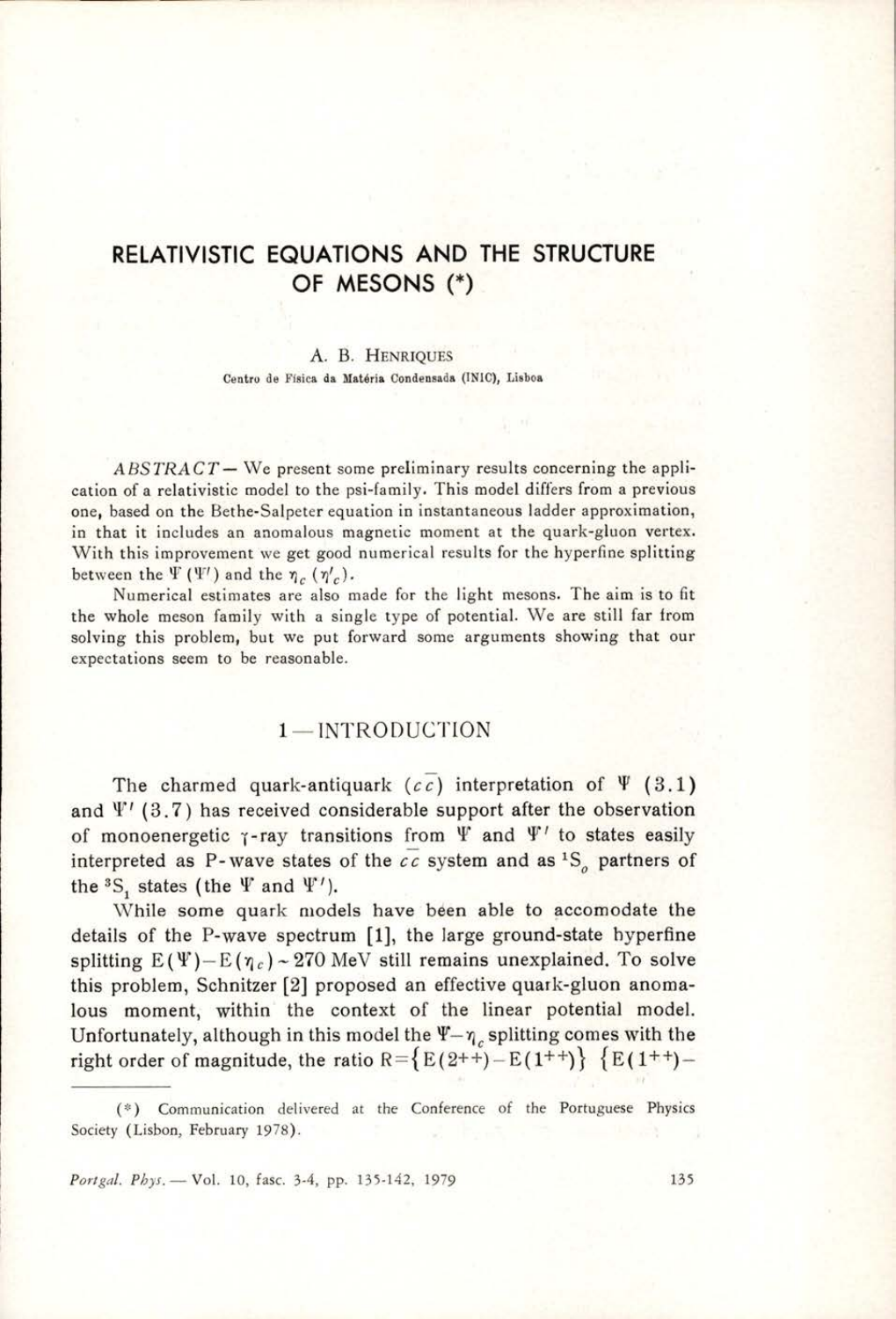# RELATIVISTIC EQUATIONS AND THE STRUCTURE OF MESONS (\*)

#### A. B. HENRIQUES Centro de Fisica da Matéria Condensada (INIC), Lisboa

 $ABSTRACT$  — We present some preliminary results concerning the application of a relativistic model to the psi-family. This model differs from a previous one, based on the Bethe-Salpeter equation in instantaneous ladder approximation, in that it includes an anomalous magnetic moment at the quark-gluon vertex. With this improvement we get good numerical results for the hyperfine splitting between the  $\Psi(\Psi')$  and the  $\eta_c(\eta'_c)$ .

Numerical estimates are also made for the light mesons. The aim is to fit the whole meson family with a single type of potential. We are still far from solving this problem, but we put forward some arguments showing that our expectations seem to be reasonable.

### 1— INTRODUCTION

The charmed quark-antiquark (cc) interpretation of  $\Psi$  (3.1) and  $\Psi'$  (3.7) has received considerable support after the observation of monoenergetic  $\gamma$ -ray transitions from  $\Psi$  and  $\Psi'$  to states easily interpreted as P-wave states of the  $cc$  system and as  ${}^{1}S_{o}$  partners of the  ${}^{3}S$ , states (the  $\Psi$  and  $\Psi'$ ).

While some quark models have been able to accomodate the details of the P-wave spectrum [1], the large ground-state hyperfine splitting  $E(\Psi) - E(\eta_c) \sim 270$  MeV still remains unexplained. To solve this problem, Schnitzer [2] proposed an effective quark-gluon anomalous moment, within the context of the linear potential model. Unfortunately, although in this model the  $\Psi-\eta_c$ , splitting comes with the right order of magnitude, the ratio R={E(2++)-E(1++)} {E(1++)-

Portgal. Phys. — Vol. 10, fasc. 3-4, pp. 135-142, 1979 135

<sup>(\*)</sup> Communication delivered at the Conference of the Portuguese Physics Society (Lisbon, February 1978).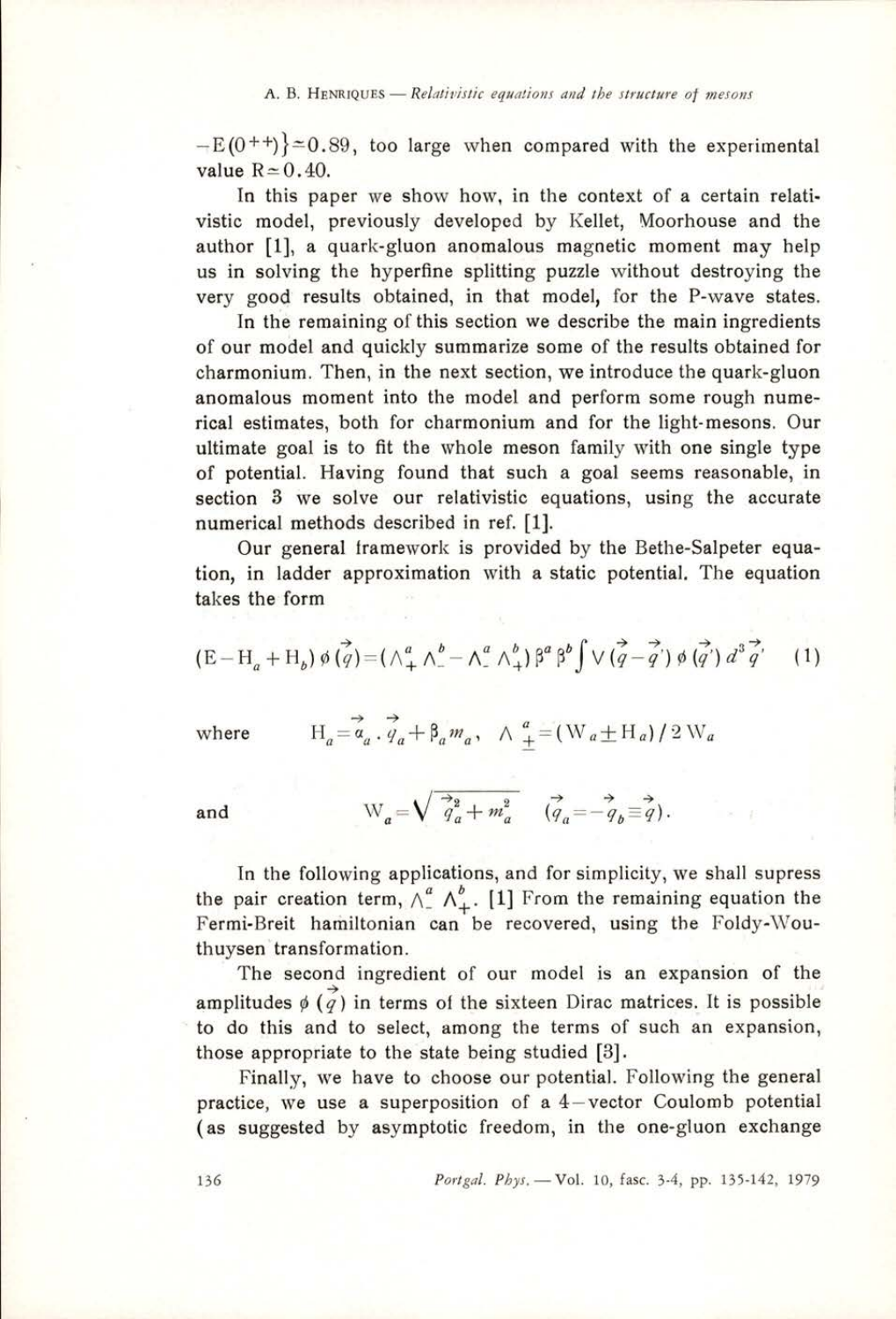A. B. HENRIQUES — Relativistic equations and the structure of mesons<br>  $-E(0^{++})$  = 0.89, too large when compared with the expersion  $-E(0^{++})\approx 0.89$ , too large when compared with the experimental value  $R \approx 0.40$ .

> In this paper we show how, in the context of a certain relativistic model, previously developed by Kellet, Moorhouse and the author [1], a quark-gluon anomalous magnetic moment may help us in solving the hyperfine splitting puzzle without destroying the very good results obtained, in that model, for the P-wave states.

> In the remaining of this section we describe the main ingredients of our model and quickly summarize some of the results obtained for charmonium. Then, in the next section, we introduce the quark-gluon anomalous moment into the model and perform some rough numerical estimates, both for charmonium and for the light-mesons. Our ultimate goal is to fit the whole meson family with one single type of potential. Having found that such a goal seems reasonable, in section 3 we solve our relativistic equations, using the accurate numerical methods described in ref. [1].

> Our general framework is provided by the Bethe-Salpeter equation, in ladder approximation with a static potential. The equation takes the form

$$
(\mathbf{E}-\mathbf{H}_a+\mathbf{H}_b)\,\phi\,(\vec{q}) = (\wedge_+^a \wedge_-^b - \wedge_-^a \wedge_+^b)\,\beta^a\,\beta^b \int \vee (\vec{q}-\vec{q}')\,\phi\,(\vec{q}')\,d^3\,\vec{q}' \qquad (1)
$$

where 
$$
H_a = \vec{a}_a \cdot \vec{q}_a + \beta_a m_a
$$
,  $\wedge \vec{a} = (W_a \pm H_a)/2 W_a$ 

where 
$$
H_a = \vec{a}_a \cdot \vec{q}_a + \beta_a m_a
$$
,  $\wedge \frac{a}{\pm} = (W_a \pm H_a) / \frac{a}{2}$   
and  $W_a = \sqrt{\vec{q}_a^2 + m_a^2} \quad (\vec{q}_a = -\vec{q}_b \equiv \vec{q})$ .

In the following applications, and for simplicity, we shall supress the pair creation term,  $\wedge_{-}^{a} \wedge_{+}^{b}$ . [1] From the remaining equation the Fermi-Breit hamiltonian can be recovered, using the Foldy-Wouthuysen transformation.

The second ingredient of our model is an expansion of the amplitudes  $\phi(\vec{q})$  in terms of the sixteen Dirac matrices. It is possible to do this and to select, among the terms of such an expansion, those appropriate to the state being studied [3].

Finally, we have to choose our potential. Following the general practice, we use a superposition of a 4—vector Coulomb potential (as suggested by asymptotic freedom, in the one-gluon exchange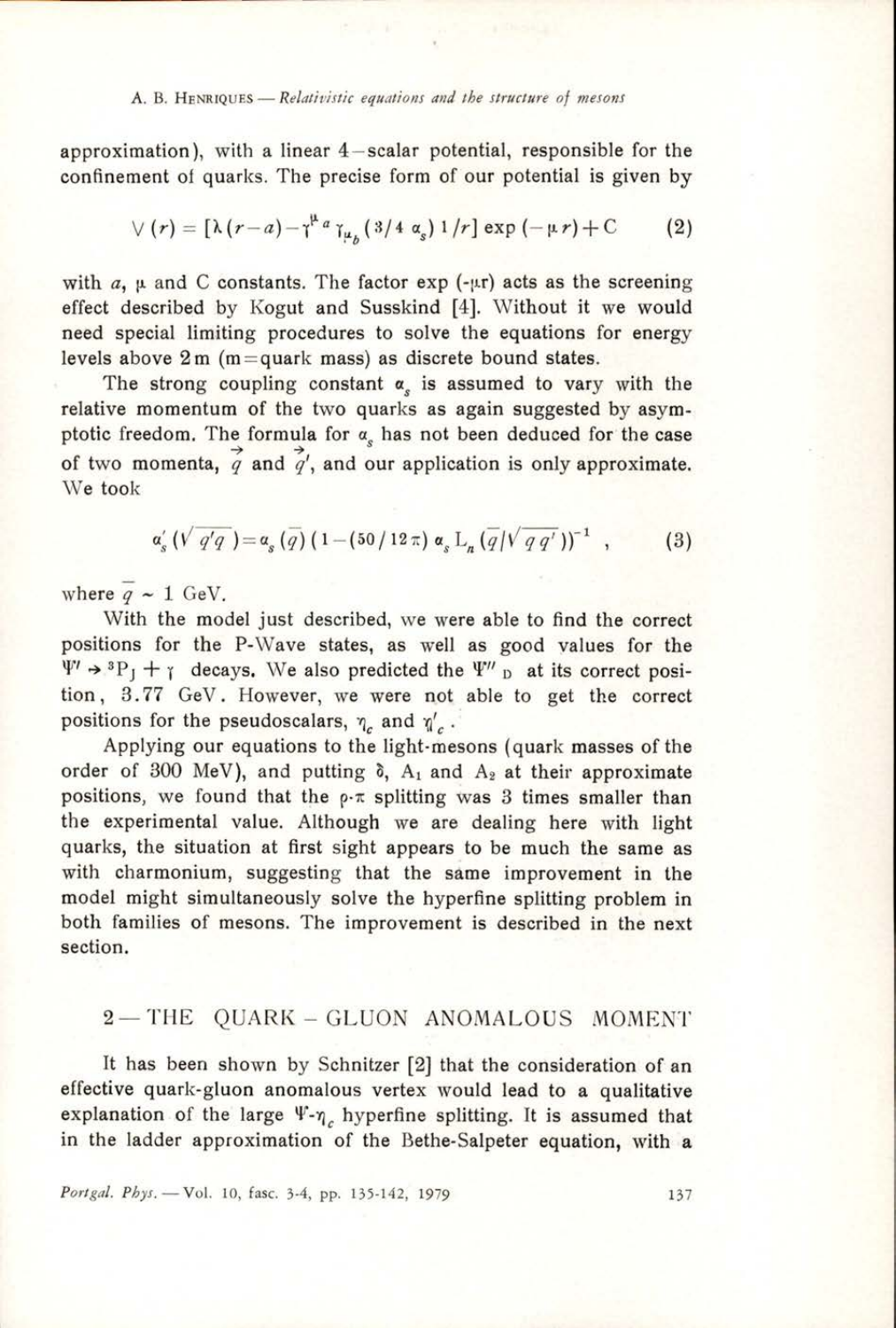#### A. B. HENRIQUES — Relativistic equations and the structure of mesons

approximation), with a linear 4—scalar potential, responsible for the

confinement of quarks. The precise form of our potential is given by  
\n
$$
\forall (r) = \left[\lambda (r-a) - \gamma^{\mu} a_{\mu} a_{\mu} (3/4 \alpha_s) 1/r\right] \exp(-\mu r) + C \tag{2}
$$

with  $a$ ,  $\mu$  and C constants. The factor exp (- $\mu$ r) acts as the screening effect described by Kogut and Susskind [4]. Without it we would need special limiting procedures to solve the equations for energy levels above 2m (m=quark mass) as discrete bound states.

The strong coupling constant  $\alpha$ , is assumed to vary with the relative momentum of the two quarks as again suggested by asymptotic freedom. The formula for  $\alpha_s$  has not been deduced for the case of two momenta,  $\overrightarrow{q}$  and  $\overrightarrow{q}$ , and our application is only approximate. We took

$$
\alpha'_{s}(\sqrt{q'q}) = \alpha_{s}(\bar{q}) (1 - (50/12\,\pi) \alpha_{s} L_{n}(\bar{q}/\sqrt{q\,q'}) )^{-1} , \qquad (3)
$$

where  $\frac{1}{q} \sim 1$  GeV.

With the model just described, we were able to find the correct positions for the P-Wave states, as well as good values for the  $\Psi' \rightarrow {}^{3}P_{1} + \gamma$  decays. We also predicted the  $\Psi''_{D}$  at its correct position, 3.77 GeV. However, we were not able to get the correct positions for the pseudoscalars,  $\eta_c$  and  $\eta_c'$ .

Applying our equations to the light-mesons (quark masses of the order of 300 MeV), and putting  $\delta$ ,  $A_1$  and  $A_2$  at their approximate positions, we found that the  $\rho$ - $\pi$  splitting was 3 times smaller than the experimental value. Although we are dealing here with light quarks, the situation at first sight appears to be much the same as with charmonium, suggesting that the same improvement in the model might simultaneously solve the hyperfine splitting problem in both families of mesons. The improvement is described in the next section.

# 2-THE QUARK-GLUON ANOMALOUS MOMENT

It has been shown by Schnitzer [2] that the consideration of an effective quark-gluon anomalous vertex would lead to a qualitative explanation of the large  $\Psi$ - $\eta$ , hyperfine splitting. It is assumed that in the ladder approximation of the Bethe-Salpeter equation, with a

Portgal. Phys. - Vol. 10, fasc. 3-4, pp. 135-142, 1979 137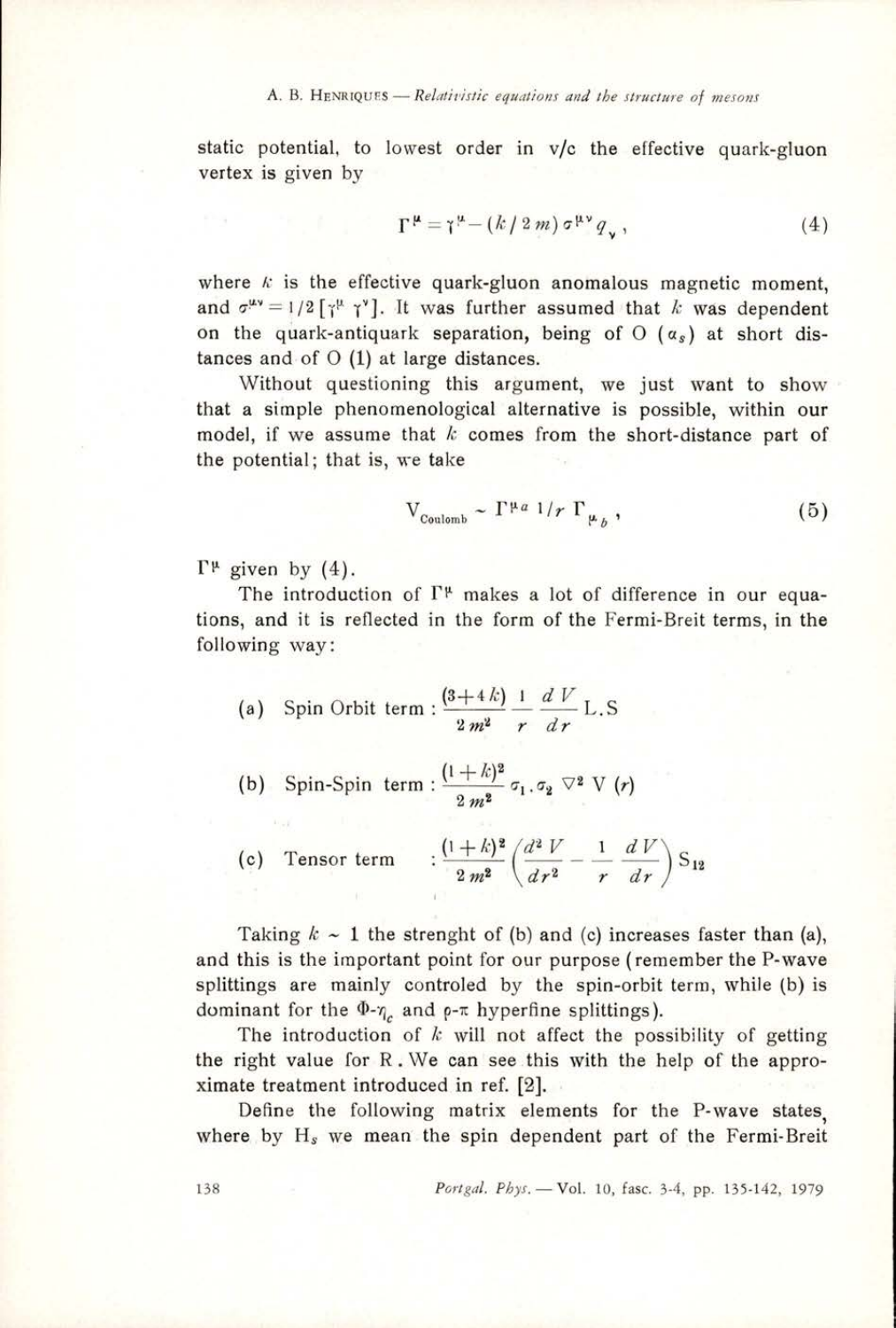#### A. B. HENRIQUES - Relativistic equations and the structure of mesons

static potential, to lowest order in v/c the effective quark-gluon vertex is given by

$$
\Gamma^{\mu} = \gamma^{\mu} - (k/2m) \sigma^{\mu\nu} q_{\mu}, \qquad (4)
$$

where  $k$  is the effective quark-gluon anomalous magnetic moment, and  $\sigma^{\mu\nu}=1/2[\gamma^{\mu}\gamma^{\nu}]$ . It was further assumed that k was dependent on the quark-antiquark separation, being of  $O(\alpha_s)$  at short distances and of  $O(1)$  at large distances.

Without questioning this argument, we just want to show that a simple phenomenological alternative is possible, within our model, if we assume that  $k$  comes from the short-distance part of the potential; that is, we take

$$
V_{\text{Coulomb}} \sim \Gamma^{\mu a} \; 1/r \; \Gamma_{\mu_b} \,, \tag{5}
$$

 $\Gamma^{\mu}$  given by (4).

The introduction of  $\Gamma^{\mu}$  makes a lot of difference in our equations, and it is reflected in the form of the Fermi-Breit terms, in the following way:

(a) Spin Orbit term : 
$$
\frac{(3+4k)}{2m^2} \frac{1}{r} \frac{dV}{dr} L.S
$$

(b) Spin-Spin term: 
$$
\frac{(1+k)^2}{2m^2} \sigma_1 \sigma_2 \nabla^2 V(r)
$$

(c) Tensor term  $\frac{(1+k)^2}{2m^2} \left( \frac{d^2 V}{dr^2} - \frac{1}{r} \frac{d V}{dr} \right) S_{12}$ 

Taking  $k \sim 1$  the strenght of (b) and (c) increases faster than (a), and this is the important point for our purpose (remember the P-wave splittings are mainly controled by the spin-orbit term, while (b) is dominant for the  $\Phi_{\gamma_c}$  and  $\rho$ - $\pi$  hyperfine splittings).

The introduction of  $k$  will not affect the possibility of getting the right value for R.We can see this with the help of the approximate treatment introduced in ref. [2].

Define the following matrix elements for the P-wave states, where by  $H_s$  we mean the spin dependent part of the Fermi-Breit

138 Portgal. Phys. — Vol. 10, fase. 3-4, pp. 135-142, 1979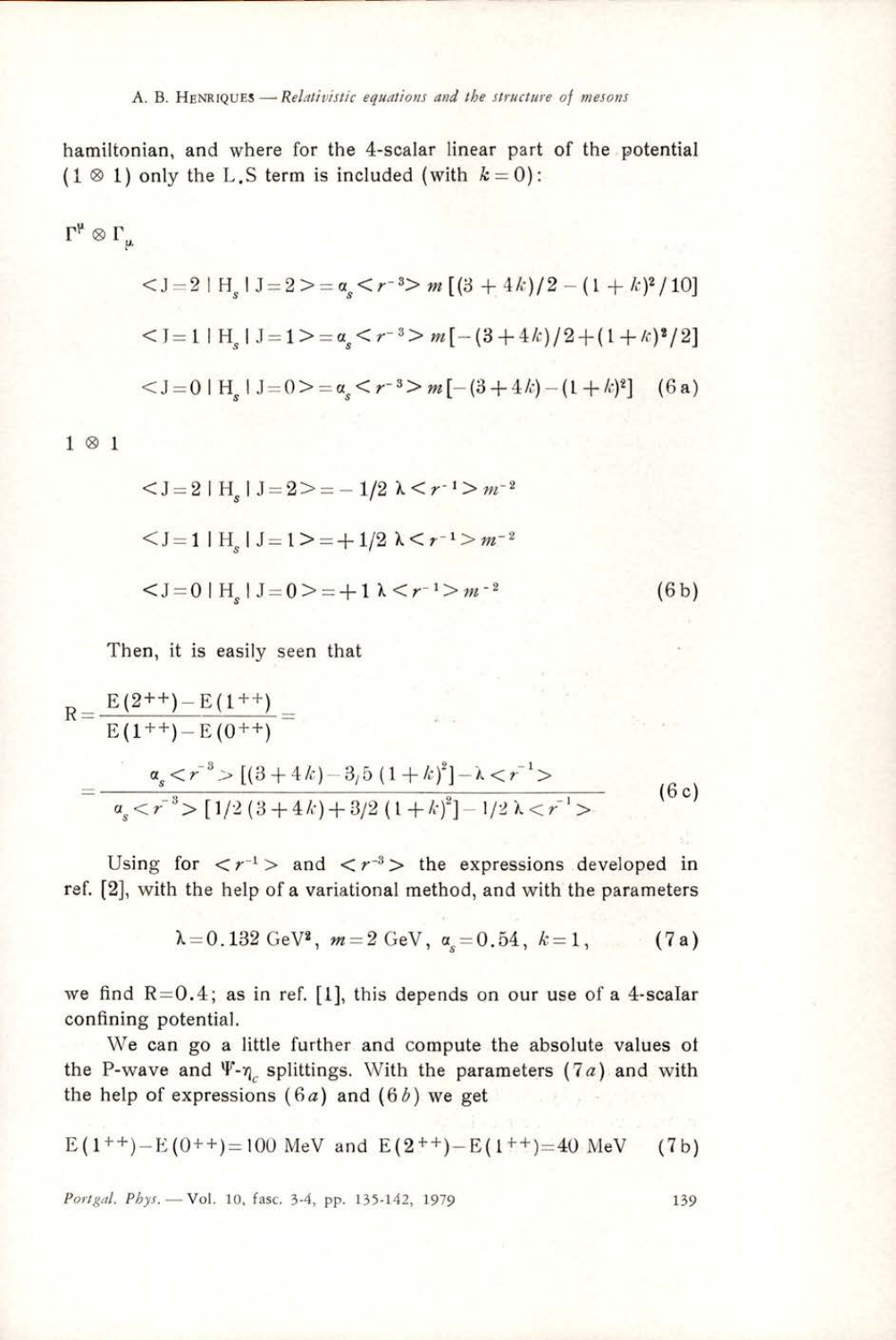#### A. B. HENRIQUES – Relativistic equations and the structure of mesons

hamiltonian, and where for the 4-scalar linear part of the potential  $(1 \otimes 1)$  only the L.S term is included (with  $k=0$ ):

$$
\Gamma^{\mu} \otimes \Gamma_{\mu}
$$
  
\n
$$
= \alpha_s < r^{-3} > m \left[ (3 + 4k)/2 - (1 + k)^2 / 10 \right]
$$
  
\n
$$
= \alpha_s < r^{-3} > m \left[ -(3 + 4k)/2 + (1 + k)^2 / 2 \right]
$$
  
\n
$$
= \alpha_s < r^{-3} > m \left[ -(3 + 4k) - (1 + k)^2 \right] \quad (6 \text{ a})
$$

1@1

$$
\langle J=2 | H_s | J=2 \rangle = -1/2 \lambda \langle r^{-1} \rangle m^{-2}
$$
  

$$
\langle J=1 | H_s | J=1 \rangle = +1/2 \lambda \langle r^{-1} \rangle m^{-2}
$$
  

$$
\langle J=0 | H_s | J=0 \rangle = +1 \lambda \langle r^{-1} \rangle m^{-2}
$$
(6b)

Then, it is easily seen that

$$
R = \frac{E(2^{++}) - E(1^{++})}{E(1^{++}) - E(0^{++})} =
$$
  
= 
$$
\frac{\alpha_s < r^{-3} > [(3+4k) - 3/5 (1+k)^2] - \lambda < r^{-1} >}{\alpha_s < r^{-3} > [1/2 (3+4k) + 3/2 (1+k)^2] - 1/2 \lambda < r^{-1} >}
$$
(6c)

Using for  $\langle r^{-1} \rangle$  and  $\langle r^{-3} \rangle$  the expressions developed in ref. [2], with the help of a variational method, and with the parameters

$$
\lambda = 0.132 \text{ GeV}^2, \ m = 2 \text{ GeV}, \ a_s = 0.54, \ k = 1, \ (7a)
$$

we find  $R=0.4$ ; as in ref. [1], this depends on our use of a 4-scalar confining potential.

We can go a little further and compute the absolute values of the P-wave and  $\Psi$ - $\eta_c$  splittings. With the parameters (7a) and with the help of expressions  $(6a)$  and  $(6b)$  we get

$$
E(1^{++})-E(0^{++})=100
$$
 MeV and  $E(2^{++})-E(1^{++})=40$  MeV (7b)

Portgal. Phys. - Vol. 10, fasc. 3-4, pp. 135-142, 1979 139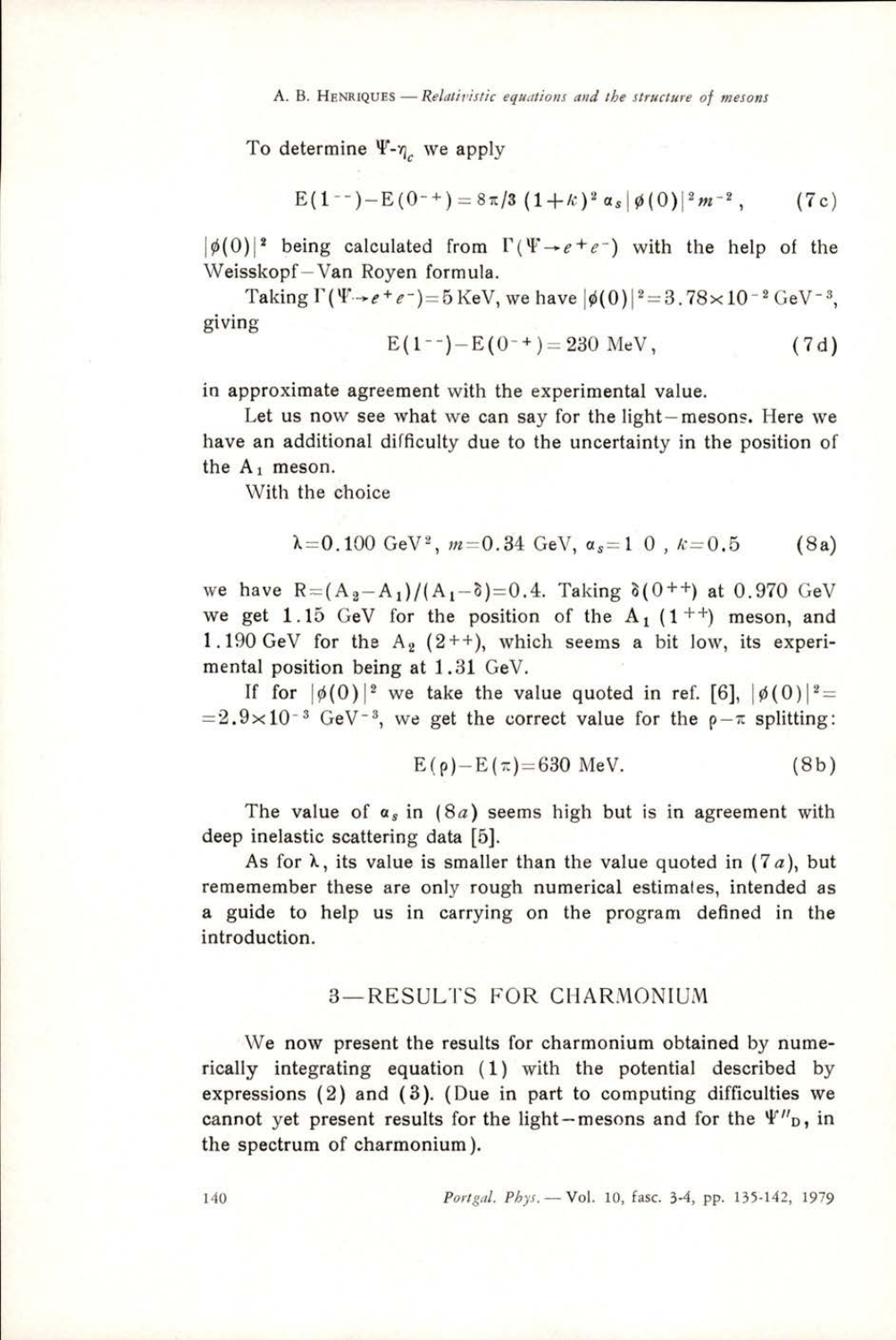A. B. HENRIQUES — Relativistic equations and the structure of mesons

To determine  $\Psi$ - $\eta$ , we apply

$$
E(1^{-1})-E(0^{-1})=8\pi/3(1+k)^2\alpha_s|\phi(0)|^2m^{-2}, \qquad (7c)
$$

 $|\phi(0)|^2$  being calculated from  $\Gamma(\Psi \rightarrow e^+e^-)$  with the help of the Weisskopf—Van Royen formula.

Taking  $\Gamma(\Psi \rightarrow e^+e^-)=5$  KeV, we have  $|\phi(0)|^2=3.78\times10^{-2}$  GeV<sup>-3</sup>. giving

 $E(1^{--})-E(0^{-+})= 230$  MeV, (7d)

\_\_\_\_\_

in approximate agreement with the experimental value.

Let us now see what we can say for the light— mesons. Here we have an additional difficulty due to the uncertainty in the position of the  $A_1$  meson.

With the choice

$$
\lambda = 0.100 \text{ GeV}^2
$$
,  $m = 0.34 \text{ GeV}$ ,  $\alpha_s = 1.0$ ,  $k = 0.5$  (8a)

we have  $R = (A_2 - A_1)/(A_1 - \delta) = 0.4$ . Taking  $\delta(0^{++})$  at 0.970 GeV we get 1.15 GeV for the position of the  $A_1$  (1<sup>++</sup>) meson, and 1.190 GeV for the  $A_2$  (2++), which seems a bit low, its experimental position being at 1.31 GeV.

If for  $|\phi(0)|^2$  we take the value quoted in ref. [6],  $|\phi(0)|^2 =$  $=2.9\times10^{-3}$  GeV<sup>-3</sup>, we get the correct value for the  $\rho-\pi$  splitting:

$$
E(\rho) - E(\pi) = 630 \text{ MeV}.
$$
 (8b)

The value of  $\alpha_s$  in (8*a*) seems high but is in agreement with deep inelastic scattering data [5].

As for  $\lambda$ , its value is smaller than the value quoted in (7a), but rememember these are only rough numerical estimates, intended as a guide to help us in carrying on the program defined in the introduction.

## 3—RESULTS FOR CHARMONIUM

We now present the results for charmonium obtained by numerically integrating equation (1) with the potential described by expressions (2) and (3). (Due in part to computing difficulties we cannot yet present results for the light-mesons and for the  $\Psi''_{\text{D}}$ , in the spectrum of charmonium ).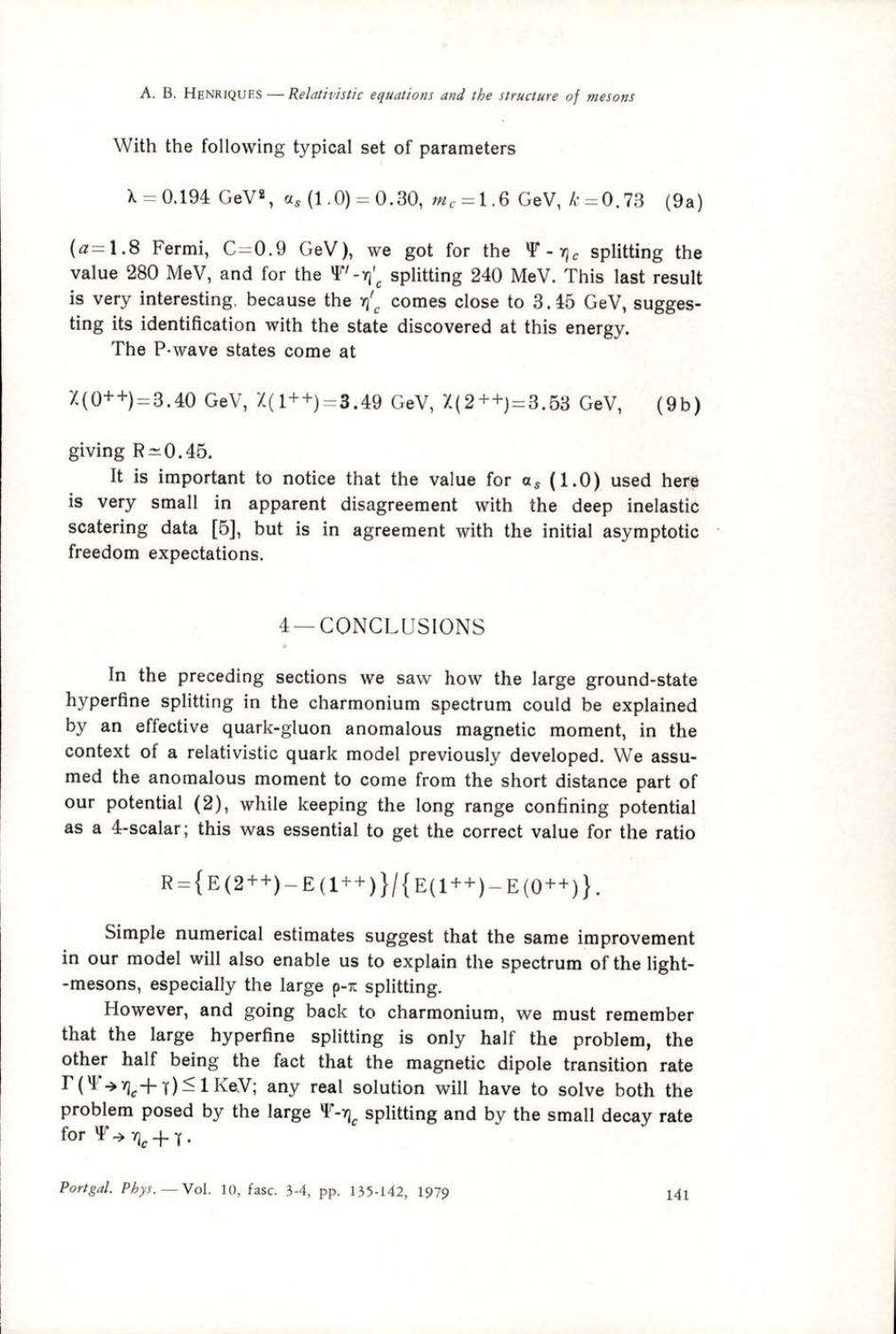A. B, HENRIQUES — Relativistic equations and the structure of mesons

With the following typical set of parameters

$$
\lambda = 0.194 \text{ GeV}^2, \ \alpha_s (1.0) = 0.30, \ m_c = 1.6 \text{ GeV}, \ k = 0.73 \quad (9a)
$$

 $(a=1.8$  Fermi, C=0.9 GeV), we got for the  $\Psi \cdot \eta_c$  splitting the value 280 MeV, and for the  $\Psi'$ - $\eta'$ , splitting 240 MeV. This last result is very interesting, because the  $\eta_c'$  comes close to 3.45 GeV, suggesting its identification with the state discovered at this energy.

The P-wave states come at

$$
\chi
$$
(0<sup>+</sup> $+$ )=3.40 GeV,  $\chi$ (1<sup>+</sup>)=3.49 GeV,  $\chi$ (2<sup>+</sup> $+$ )=3.53 GeV, (9b)

giving  $R \approx 0.45$ .

the company of the company of

It is important to notice that the value for  $\alpha_s$  (1.0) used here is very small in apparent disagreement with the deep inelastic scatering data [5], but is in agreement with the initial asymptotic freedom expectations.

# 4— CONCLUSIONS

In the preceding sections we saw how the large ground-state hyperfine splitting in the charmonium spectrum could be explained by an effective quark-gluon anomalous magnetic moment, in the context of a relativistic quark model previously developed. We assu- med the anomalous moment to come from the short distance part of our potential (2), while keeping the long range confining potential as a 4-scalar; this was essential to get the correct value for the ratio

$$
R = \left\{ E(2^{++}) - E(1^{++}) \right\} / \left\{ E(1^{++}) - E(0^{++}) \right\}.
$$

Simple numerical estimates suggest that the same improvement in our model will also enable us to explain the spectrum of the light- -mesons, especially the large  $\rho$ - $\pi$  splitting.

However, and going back to charmonium, we must remember that the large hyperfine splitting is only half the problem, the other half being the fact that the magnetic dipole transition rate  $\Gamma(\Psi \rightarrow \eta + \eta) \leq 1$  KeV; any real solution will have to solve both the problem posed by the large  $\Psi$ - $\eta_c$  splitting and by the small decay rate for  $\Psi \rightarrow \eta_c + \gamma$ .

Portgal. Phys. - Vol. 10, fasc. 3-4, pp. 135-142, 1979 141